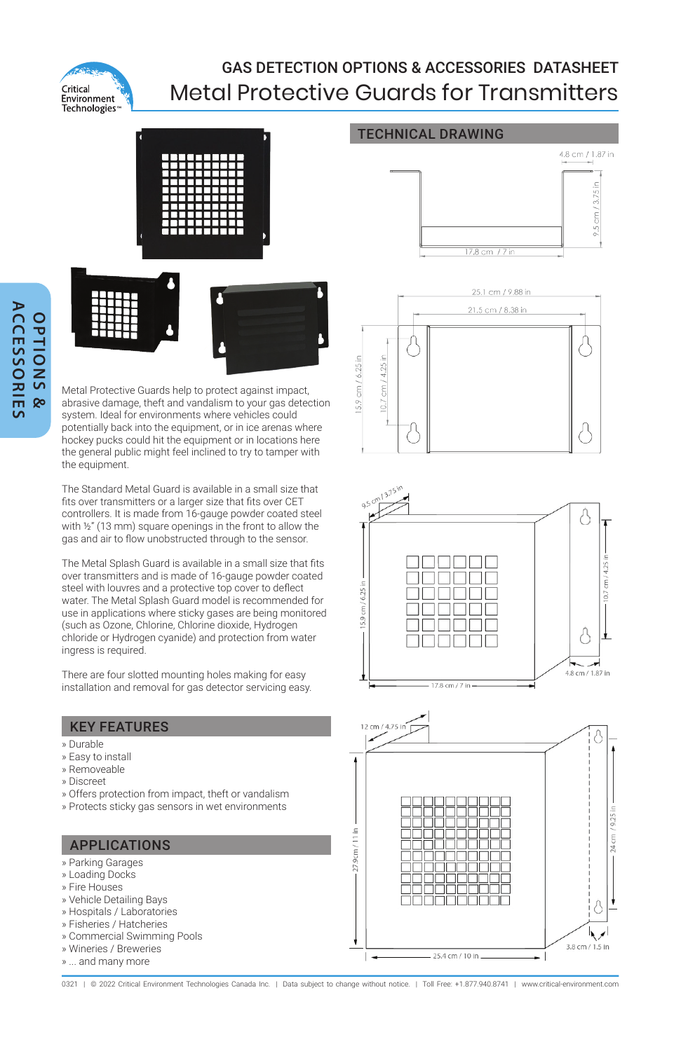

## GAS DETECTION OPTIONS & ACCESSORIES DATASHEET Metal Protective Guards for Transmitters

TECHNICAL DRAWING





Metal Protective Guards help to protect against impact, abrasive damage, theft and vandalism to your gas detection system. Ideal for environments where vehicles could potentially back into the equipment, or in ice arenas where hockey pucks could hit the equipment or in locations here the general public might feel inclined to try to tamper with the equipment.

The Standard Metal Guard is available in a small size that fits over transmitters or a larger size that fits over CET controllers. It is made from 16-gauge powder coated steel with ½" (13 mm) square openings in the front to allow the gas and air to flow unobstructed through to the sensor.

The Metal Splash Guard is available in a small size that fits over transmitters and is made of 16-gauge powder coated steel with louvres and a protective top cover to deflect water. The Metal Splash Guard model is recommended for use in applications where sticky gases are being monitored (such as Ozone, Chlorine, Chlorine dioxide, Hydrogen chloride or Hydrogen cyanide) and protection from water ingress is required.

There are four slotted mounting holes making for easy installation and removal for gas detector servicing easy.

### KEY FEATURES

- » Durable
- » Easy to install
- » Removeable
- » Discreet
- » Offers protection from impact, theft or vandalism
- » Protects sticky gas sensors in wet environments

### APPLICATIONS

- » Parking Garages
- » Loading Docks
- » Fire Houses
- » Vehicle Detailing Bays
- » Hospitals / Laboratories » Fisheries / Hatcheries
- » Commercial Swimming Pools
- » Wineries / Breweries
- » ... and many more



4.8 cm / 1.87 in

 $cm/3.75$ 





0321 | @ 2022 Critical Environment Technologies Canada Inc. | Data subject to change without notice. | Toll Free: +1.877.940.8741 | www.critical-environment.com